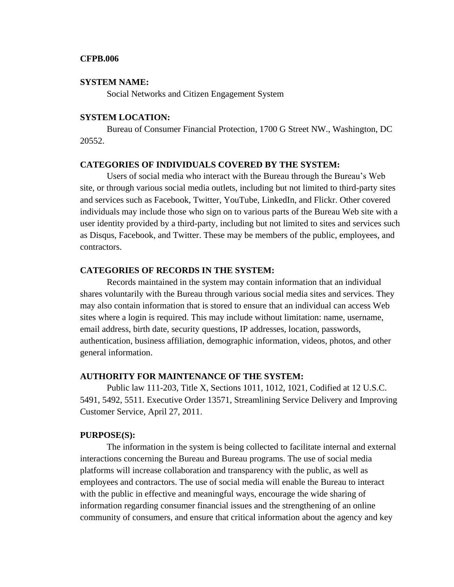### **CFPB.006**

#### **SYSTEM NAME:**

Social Networks and Citizen Engagement System

### **SYSTEM LOCATION:**

Bureau of Consumer Financial Protection, 1700 G Street NW., Washington, DC 20552.

### **CATEGORIES OF INDIVIDUALS COVERED BY THE SYSTEM:**

Users of social media who interact with the Bureau through the Bureau's Web site, or through various social media outlets, including but not limited to third-party sites and services such as Facebook, Twitter, YouTube, LinkedIn, and Flickr. Other covered individuals may include those who sign on to various parts of the Bureau Web site with a user identity provided by a third-party, including but not limited to sites and services such as Disqus, Facebook, and Twitter. These may be members of the public, employees, and contractors.

### **CATEGORIES OF RECORDS IN THE SYSTEM:**

Records maintained in the system may contain information that an individual shares voluntarily with the Bureau through various social media sites and services. They may also contain information that is stored to ensure that an individual can access Web sites where a login is required. This may include without limitation: name, username, email address, birth date, security questions, IP addresses, location, passwords, authentication, business affiliation, demographic information, videos, photos, and other general information.

### **AUTHORITY FOR MAINTENANCE OF THE SYSTEM:**

Public law 111-203, Title X, Sections 1011, 1012, 1021, Codified at 12 U.S.C. 5491, 5492, 5511. Executive Order 13571, Streamlining Service Delivery and Improving Customer Service, April 27, 2011.

#### **PURPOSE(S):**

The information in the system is being collected to facilitate internal and external interactions concerning the Bureau and Bureau programs. The use of social media platforms will increase collaboration and transparency with the public, as well as employees and contractors. The use of social media will enable the Bureau to interact with the public in effective and meaningful ways, encourage the wide sharing of information regarding consumer financial issues and the strengthening of an online community of consumers, and ensure that critical information about the agency and key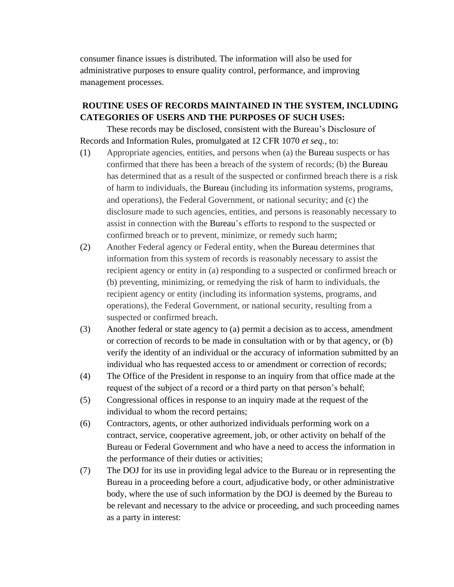consumer finance issues is distributed. The information will also be used for administrative purposes to ensure quality control, performance, and improving management processes.

# **ROUTINE USES OF RECORDS MAINTAINED IN THE SYSTEM, INCLUDING CATEGORIES OF USERS AND THE PURPOSES OF SUCH USES:**

These records may be disclosed, consistent with the Bureau's Disclosure of Records and Information Rules, promulgated at 12 CFR 1070 *et seq.,* to:

- (1) Appropriate agencies, entities, and persons when (a) the Bureau suspects or has confirmed that there has been a breach of the system of records; (b) the Bureau has determined that as a result of the suspected or confirmed breach there is a risk of harm to individuals, the Bureau (including its information systems, programs, and operations), the Federal Government, or national security; and (c) the disclosure made to such agencies, entities, and persons is reasonably necessary to assist in connection with the Bureau's efforts to respond to the suspected or confirmed breach or to prevent, minimize, or remedy such harm;
- (2) Another Federal agency or Federal entity, when the Bureau determines that information from this system of records is reasonably necessary to assist the recipient agency or entity in (a) responding to a suspected or confirmed breach or (b) preventing, minimizing, or remedying the risk of harm to individuals, the recipient agency or entity (including its information systems, programs, and operations), the Federal Government, or national security, resulting from a suspected or confirmed breach.
- (3) Another federal or state agency to (a) permit a decision as to access, amendment or correction of records to be made in consultation with or by that agency, or (b) verify the identity of an individual or the accuracy of information submitted by an individual who has requested access to or amendment or correction of records;
- (4) The Office of the President in response to an inquiry from that office made at the request of the subject of a record or a third party on that person's behalf;
- (5) Congressional offices in response to an inquiry made at the request of the individual to whom the record pertains;
- (6) Contractors, agents, or other authorized individuals performing work on a contract, service, cooperative agreement, job, or other activity on behalf of the Bureau or Federal Government and who have a need to access the information in the performance of their duties or activities;
- (7) The DOJ for its use in providing legal advice to the Bureau or in representing the Bureau in a proceeding before a court, adjudicative body, or other administrative body, where the use of such information by the DOJ is deemed by the Bureau to be relevant and necessary to the advice or proceeding, and such proceeding names as a party in interest: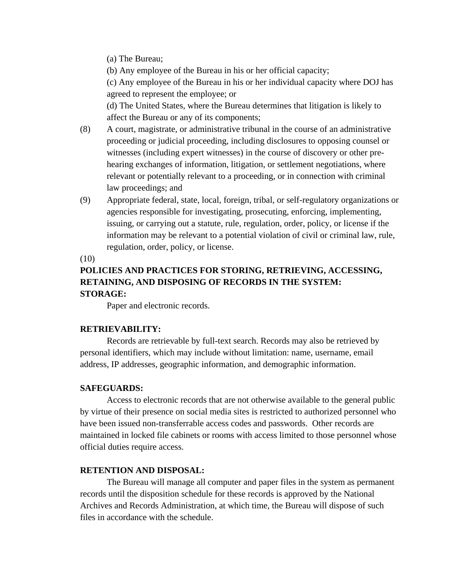(a) The Bureau;

(b) Any employee of the Bureau in his or her official capacity;

(c) Any employee of the Bureau in his or her individual capacity where DOJ has agreed to represent the employee; or

(d) The United States, where the Bureau determines that litigation is likely to affect the Bureau or any of its components;

- (8) A court, magistrate, or administrative tribunal in the course of an administrative proceeding or judicial proceeding, including disclosures to opposing counsel or witnesses (including expert witnesses) in the course of discovery or other prehearing exchanges of information, litigation, or settlement negotiations, where relevant or potentially relevant to a proceeding, or in connection with criminal law proceedings; and
- (9) Appropriate federal, state, local, foreign, tribal, or self-regulatory organizations or agencies responsible for investigating, prosecuting, enforcing, implementing, issuing, or carrying out a statute, rule, regulation, order, policy, or license if the information may be relevant to a potential violation of civil or criminal law, rule, regulation, order, policy, or license.

(10)

# **POLICIES AND PRACTICES FOR STORING, RETRIEVING, ACCESSING, RETAINING, AND DISPOSING OF RECORDS IN THE SYSTEM: STORAGE:**

Paper and electronic records.

# **RETRIEVABILITY:**

Records are retrievable by full-text search. Records may also be retrieved by personal identifiers, which may include without limitation: name, username, email address, IP addresses, geographic information, and demographic information.

# **SAFEGUARDS:**

Access to electronic records that are not otherwise available to the general public by virtue of their presence on social media sites is restricted to authorized personnel who have been issued non-transferrable access codes and passwords. Other records are maintained in locked file cabinets or rooms with access limited to those personnel whose official duties require access.

# **RETENTION AND DISPOSAL:**

The Bureau will manage all computer and paper files in the system as permanent records until the disposition schedule for these records is approved by the National Archives and Records Administration, at which time, the Bureau will dispose of such files in accordance with the schedule.